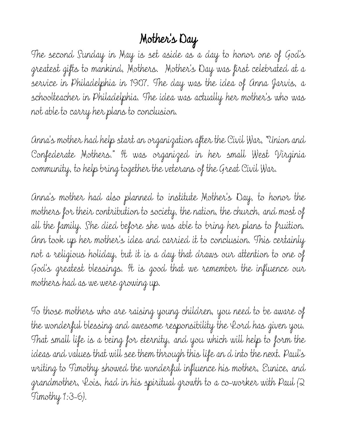## Mother's Day

The second Sunday in May is set aside as a day to honor one of God's greatest gifts to mankind, Mothers. Mother's Day was first celebrated at a service in Philadelphia in 1907. The day was the idea of Anna Jarvis, a schoolteacher in Philadelphia. The idea was actually her mother's who was not able to carry her plans to conclusion.

Anna's mother had help start an organization after the Civil War, "Union and Confederate Mothers." It was organized in her small West Virginia community, to help bring together the veterans of the Great Civil War.

Anna's mother had also planned to institute Mother's Day, to honor the mothers for their contribution to society, the nation, the church, and most of all the family. She died before she was able to bring her plans to fruition. Ann took up her mother's idea and carried it to conclusion. This certainly not a religious holiday, but it is a day that draws our attention to one of God's greatest blessings. It is good that we remember the influence our mothers had as we were growing up.

To those mothers who are raising young children, you need to be aware of the wonderful blessing and awesome responsibility the Lord has given you. That small life is a being for eternity, and you which will help to form the ideas and values that will see them through this life an d into the next. Paul's writing to Timothy showed the wonderful influence his mother, Eunice, and grandmother, Lois, had in his spiritual growth to a co-worker with Paul (2 Timothy 1:3-6).